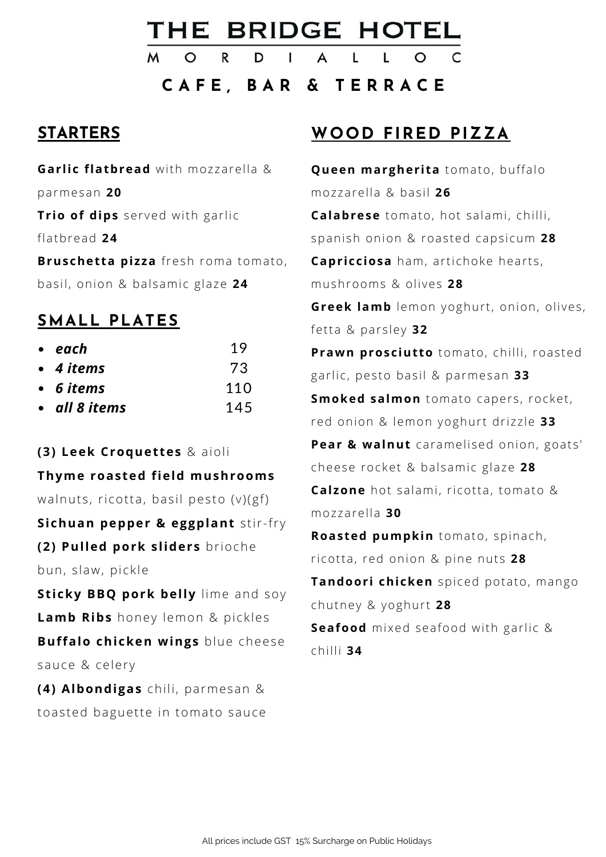# THE BRIDGE HOTEL

 $\blacksquare$ 

**C A F E , B A R & T E R R A C E**

 $\overline{A}$ 

 $\mathbf{L}$ 

#### **STARTERS**

**Garlic flatbread** with mozzarella & parmesan **20 Trio of dips** served with garlic flatbread **24 Bruschetta pizza** fresh roma tomato, basil, onion & balsamic glaze 24

 $\Omega$ 

R

D

#### **SMALL PLATES**

| $\bullet$ each | 19  |
|----------------|-----|
| • 4 items      | 73  |
| • 6 items      | 110 |
| • all 8 items  | 145 |

**(3) Leek Croquettes** & aioli **Thyme roasted field mushrooms** walnuts, ricotta, basil pesto  $(v)(gf)$ **Sichuan pepper & eggplant** stir-fry **(2) Pulled pork sliders** brioche bun, slaw, pickle **Sticky BBQ pork belly** lime and soy

**Lamb Ribs** honey lemon & pickles **Buffalo chicken wings** blue cheese sauce & celery

**(4) Albondigas** chili, parmesan & toasted baguette in tomato sauce

### **WOOD FIRED PIZZA**

**Queen margherita** tomato, buffalo mozzarella & basil 26 Calabrese tomato, hot salami, chilli, spanish onion & roasted capsicum 28 **Capricciosa** ham, artichoke hearts, mushrooms & olives 28 **Greek lamb** lemon yoghurt, onion, olives, fetta & parsley 32 **Prawn prosciutto** tomato, chilli, roasted garlic, pesto basil & parmesan 33 **Smoked salmon** tomato capers, rocket, red onion & lemon yoghurt drizzle 33 Pear & walnut caramelised onion, goats' cheese rocket & balsamic glaze 28 **Calzone** hot salami, ricotta, tomato & moz zarel la **30 Roasted pumpkin** tomato, spinach, ricotta, red onion & pine nuts 28 **Tandoori chicken** spiced potato, mango chutney & yoghurt **28 Seafood** mixed seafood with garlic & chilli 34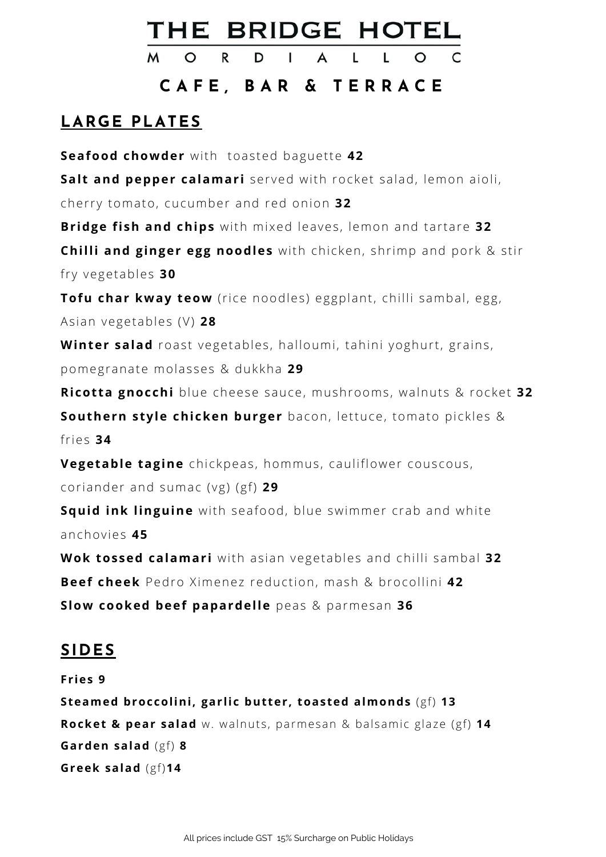# THE BRIDGE HOTEL

 $\overline{A}$ 

 $\mathsf{L}$ 

 $\mathbf{I}$ 

D

R

 $\circ$ 

### **C A F E , B A R & T E R R A C E**

### **LARGE PLATES**

**Seafood chowder** with toasted baguette 42 **Salt and pepper calamari** served with rocket salad, lemon aioli, cherry tomato, cucumber and red onion 32 **Bridge fish and chips** with mixed leaves, lemon and tartare 32 **Chilli and ginger egg noodles** with chicken, shrimp and pork & stir fry vegetables 30 **Tofu char kway teow** (rice noodles) eggplant, chilli sambal, egg, As ian vegetables (V) **28 Winter salad** roast vegetables, halloumi, tahini yoghurt, grains, pomegranate molas ses & dukkha **29 Ricotta gnocchi** blue cheese sauce, mushrooms, walnuts & rocket 32 **Southern style chicken burger** bacon, lettuce, tomato pickles & fries **34 Vegetable tagine** chickpeas, hommus, cauliflower couscous, coriander and sumac ( vg) (gf) **29 Squid ink linguine** with seafood, blue swimmer crab and white anchov ies **45** Wok tossed calamari with asian vegetables and chilli sambal 32 **Beef cheek** Pedro Ximenez reduction, mash & brocollini 42 **Slow cooked beef papardelle** peas & parmesan **36**

#### **SIDES**

**Fr ies 9**

**Steamed broccolini, garlic butter, toasted almonds (gf) 13 Rocket & pear salad** w. walnuts, parmesan & balsamic glaze (gf) 14 **Garden salad** (gf) **8 Greek salad** (gf)**14**